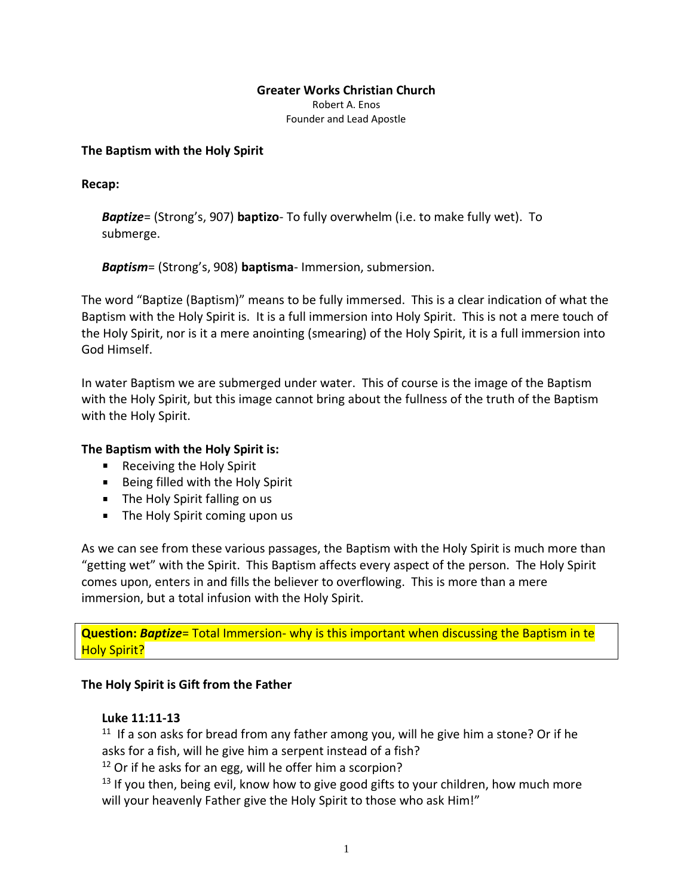### **Greater Works Christian Church**

Robert A. Enos Founder and Lead Apostle

### **The Baptism with the Holy Spirit**

**Recap:**

*Baptize*= (Strong's, 907) **baptizo**- To fully overwhelm (i.e. to make fully wet). To submerge.

*Baptism*= (Strong's, 908) **baptisma**- Immersion, submersion.

The word "Baptize (Baptism)" means to be fully immersed. This is a clear indication of what the Baptism with the Holy Spirit is. It is a full immersion into Holy Spirit. This is not a mere touch of the Holy Spirit, nor is it a mere anointing (smearing) of the Holy Spirit, it is a full immersion into God Himself.

In water Baptism we are submerged under water. This of course is the image of the Baptism with the Holy Spirit, but this image cannot bring about the fullness of the truth of the Baptism with the Holy Spirit.

## **The Baptism with the Holy Spirit is:**

- Receiving the Holy Spirit
- **Being filled with the Holy Spirit**
- The Holy Spirit falling on us
- The Holy Spirit coming upon us

As we can see from these various passages, the Baptism with the Holy Spirit is much more than "getting wet" with the Spirit. This Baptism affects every aspect of the person. The Holy Spirit comes upon, enters in and fills the believer to overflowing. This is more than a mere immersion, but a total infusion with the Holy Spirit.

**Question:** *Baptize*= Total Immersion- why is this important when discussing the Baptism in te **Holy Spirit?** 

## **The Holy Spirit is Gift from the Father**

## **Luke 11:11-13**

<sup>11</sup> If a son asks for bread from any father among you, will he give him a stone? Or if he asks for a fish, will he give him a serpent instead of a fish?

 $12$  Or if he asks for an egg, will he offer him a scorpion?

 $13$  If you then, being evil, know how to give good gifts to your children, how much more will your heavenly Father give the Holy Spirit to those who ask Him!"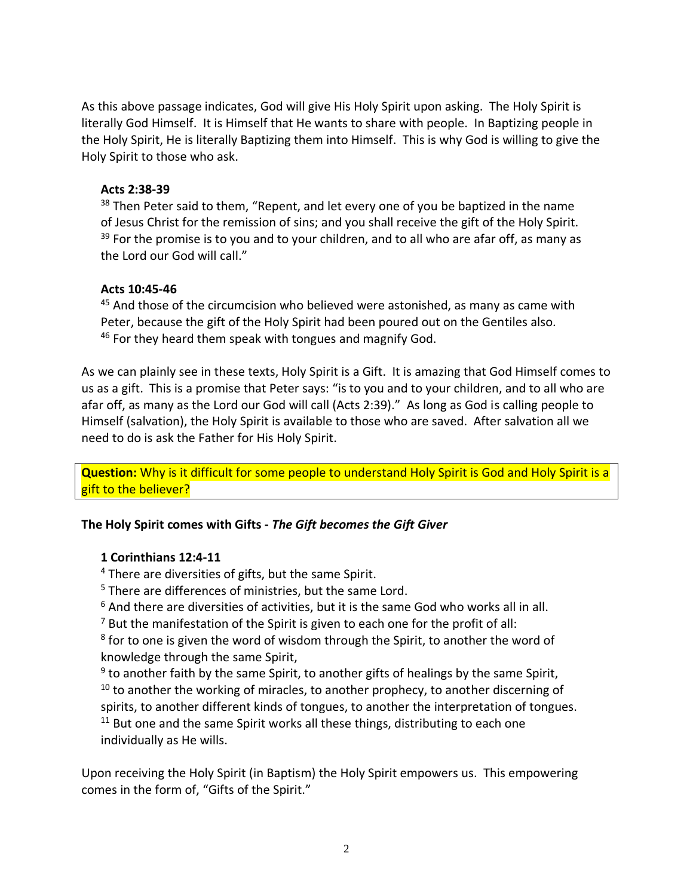As this above passage indicates, God will give His Holy Spirit upon asking. The Holy Spirit is literally God Himself. It is Himself that He wants to share with people. In Baptizing people in the Holy Spirit, He is literally Baptizing them into Himself. This is why God is willing to give the Holy Spirit to those who ask.

## **Acts 2:38-39**

<sup>38</sup> Then Peter said to them, "Repent, and let every one of you be baptized in the name of Jesus Christ for the remission of sins; and you shall receive the gift of the Holy Spirit.  $39$  For the promise is to you and to your children, and to all who are afar off, as many as the Lord our God will call."

## **Acts 10:45-46**

<sup>45</sup> And those of the circumcision who believed were astonished, as many as came with Peter, because the gift of the Holy Spirit had been poured out on the Gentiles also.  $46$  For they heard them speak with tongues and magnify God.

As we can plainly see in these texts, Holy Spirit is a Gift. It is amazing that God Himself comes to us as a gift. This is a promise that Peter says: "is to you and to your children, and to all who are afar off, as many as the Lord our God will call (Acts 2:39)." As long as God is calling people to Himself (salvation), the Holy Spirit is available to those who are saved. After salvation all we need to do is ask the Father for His Holy Spirit.

**Question:** Why is it difficult for some people to understand Holy Spirit is God and Holy Spirit is a gift to the believer?

# **The Holy Spirit comes with Gifts -** *The Gift becomes the Gift Giver*

## **1 Corinthians 12:4-11**

<sup>4</sup> There are diversities of gifts, but the same Spirit.

- <sup>5</sup> There are differences of ministries, but the same Lord.
- $6$  And there are diversities of activities, but it is the same God who works all in all.

 $7$  But the manifestation of the Spirit is given to each one for the profit of all:

<sup>8</sup> for to one is given the word of wisdom through the Spirit, to another the word of knowledge through the same Spirit,

<sup>9</sup> to another faith by the same Spirit, to another gifts of healings by the same Spirit,

 $10$  to another the working of miracles, to another prophecy, to another discerning of spirits, to another different kinds of tongues, to another the interpretation of tongues.  $11$  But one and the same Spirit works all these things, distributing to each one individually as He wills.

Upon receiving the Holy Spirit (in Baptism) the Holy Spirit empowers us. This empowering comes in the form of, "Gifts of the Spirit."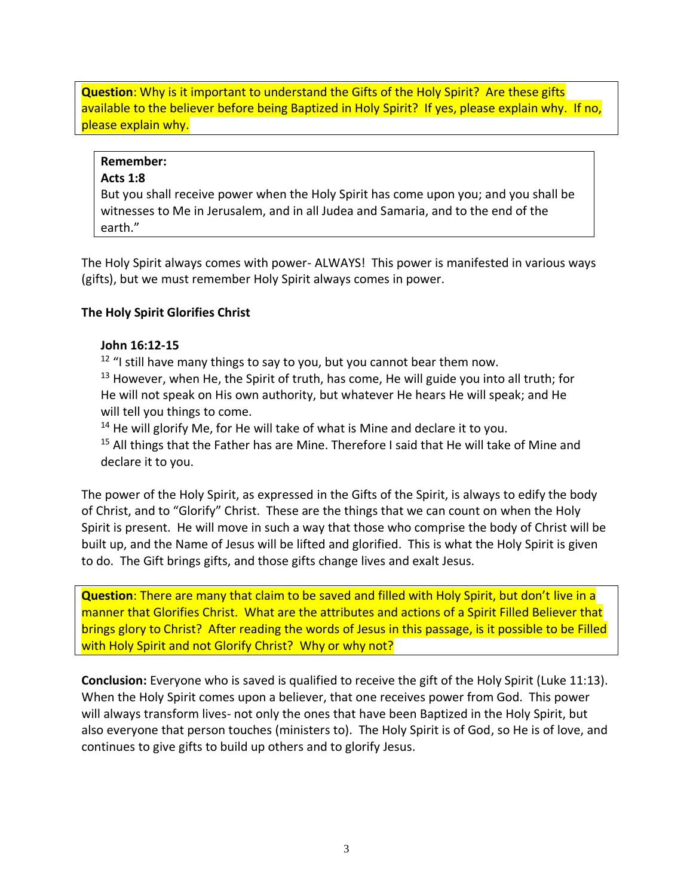**Question:** Why is it important to understand the Gifts of the Holy Spirit? Are these gifts available to the believer before being Baptized in Holy Spirit? If yes, please explain why. If no, please explain why.

### **Remember:**

### **Acts 1:8**

But you shall receive power when the Holy Spirit has come upon you; and you shall be witnesses to Me in Jerusalem, and in all Judea and Samaria, and to the end of the earth."

The Holy Spirit always comes with power- ALWAYS! This power is manifested in various ways (gifts), but we must remember Holy Spirit always comes in power.

## **The Holy Spirit Glorifies Christ**

### **John 16:12-15**

<sup>12</sup> "I still have many things to say to you, but you cannot bear them now.

 $13$  However, when He, the Spirit of truth, has come, He will guide you into all truth; for He will not speak on His own authority, but whatever He hears He will speak; and He will tell you things to come.

 $14$  He will glorify Me, for He will take of what is Mine and declare it to you.

<sup>15</sup> All things that the Father has are Mine. Therefore I said that He will take of Mine and declare it to you.

The power of the Holy Spirit, as expressed in the Gifts of the Spirit, is always to edify the body of Christ, and to "Glorify" Christ. These are the things that we can count on when the Holy Spirit is present. He will move in such a way that those who comprise the body of Christ will be built up, and the Name of Jesus will be lifted and glorified. This is what the Holy Spirit is given to do. The Gift brings gifts, and those gifts change lives and exalt Jesus.

**Question**: There are many that claim to be saved and filled with Holy Spirit, but don't live in a manner that Glorifies Christ. What are the attributes and actions of a Spirit Filled Believer that brings glory to Christ? After reading the words of Jesus in this passage, is it possible to be Filled with Holy Spirit and not Glorify Christ? Why or why not?

**Conclusion:** Everyone who is saved is qualified to receive the gift of the Holy Spirit (Luke 11:13). When the Holy Spirit comes upon a believer, that one receives power from God. This power will always transform lives- not only the ones that have been Baptized in the Holy Spirit, but also everyone that person touches (ministers to). The Holy Spirit is of God, so He is of love, and continues to give gifts to build up others and to glorify Jesus.